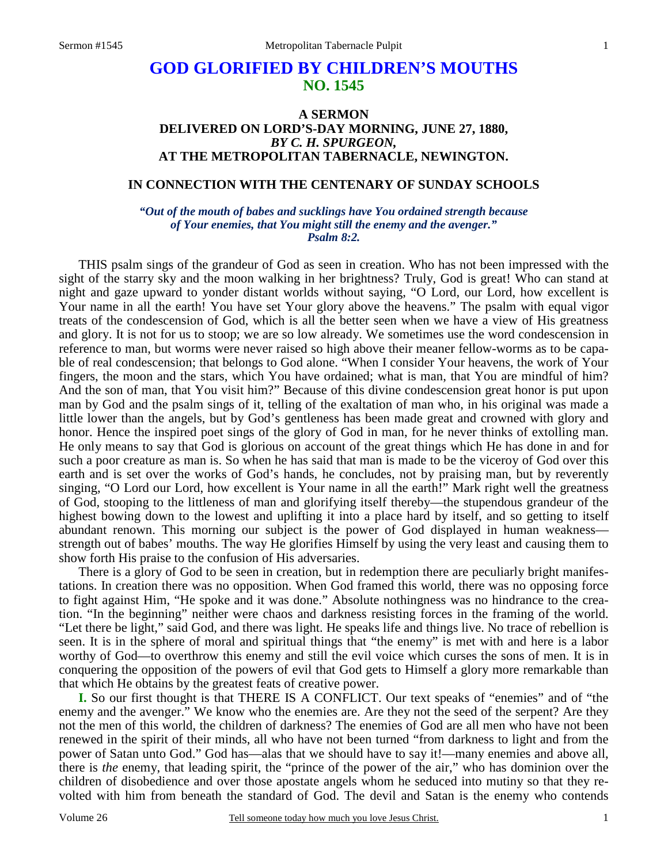# **GOD GLORIFIED BY CHILDREN'S MOUTHS NO. 1545**

## **A SERMON DELIVERED ON LORD'S-DAY MORNING, JUNE 27, 1880,**  *BY C. H. SPURGEON,*  **AT THE METROPOLITAN TABERNACLE, NEWINGTON.**

## **IN CONNECTION WITH THE CENTENARY OF SUNDAY SCHOOLS**

*"Out of the mouth of babes and sucklings have You ordained strength because of Your enemies, that You might still the enemy and the avenger." Psalm 8:2.* 

THIS psalm sings of the grandeur of God as seen in creation. Who has not been impressed with the sight of the starry sky and the moon walking in her brightness? Truly, God is great! Who can stand at night and gaze upward to yonder distant worlds without saying, "O Lord, our Lord, how excellent is Your name in all the earth! You have set Your glory above the heavens." The psalm with equal vigor treats of the condescension of God, which is all the better seen when we have a view of His greatness and glory. It is not for us to stoop; we are so low already. We sometimes use the word condescension in reference to man, but worms were never raised so high above their meaner fellow-worms as to be capable of real condescension; that belongs to God alone. "When I consider Your heavens, the work of Your fingers, the moon and the stars, which You have ordained; what is man, that You are mindful of him? And the son of man, that You visit him?" Because of this divine condescension great honor is put upon man by God and the psalm sings of it, telling of the exaltation of man who, in his original was made a little lower than the angels, but by God's gentleness has been made great and crowned with glory and honor. Hence the inspired poet sings of the glory of God in man, for he never thinks of extolling man. He only means to say that God is glorious on account of the great things which He has done in and for such a poor creature as man is. So when he has said that man is made to be the viceroy of God over this earth and is set over the works of God's hands, he concludes, not by praising man, but by reverently singing, "O Lord our Lord, how excellent is Your name in all the earth!" Mark right well the greatness of God, stooping to the littleness of man and glorifying itself thereby—the stupendous grandeur of the highest bowing down to the lowest and uplifting it into a place hard by itself, and so getting to itself abundant renown. This morning our subject is the power of God displayed in human weakness strength out of babes' mouths. The way He glorifies Himself by using the very least and causing them to show forth His praise to the confusion of His adversaries.

 There is a glory of God to be seen in creation, but in redemption there are peculiarly bright manifestations. In creation there was no opposition. When God framed this world, there was no opposing force to fight against Him, "He spoke and it was done." Absolute nothingness was no hindrance to the creation. "In the beginning" neither were chaos and darkness resisting forces in the framing of the world. "Let there be light," said God, and there was light. He speaks life and things live. No trace of rebellion is seen. It is in the sphere of moral and spiritual things that "the enemy" is met with and here is a labor worthy of God—to overthrow this enemy and still the evil voice which curses the sons of men. It is in conquering the opposition of the powers of evil that God gets to Himself a glory more remarkable than that which He obtains by the greatest feats of creative power.

**I.** So our first thought is that THERE IS A CONFLICT. Our text speaks of "enemies" and of "the enemy and the avenger." We know who the enemies are. Are they not the seed of the serpent? Are they not the men of this world, the children of darkness? The enemies of God are all men who have not been renewed in the spirit of their minds, all who have not been turned "from darkness to light and from the power of Satan unto God." God has—alas that we should have to say it!—many enemies and above all, there is *the* enemy, that leading spirit, the "prince of the power of the air," who has dominion over the children of disobedience and over those apostate angels whom he seduced into mutiny so that they revolted with him from beneath the standard of God. The devil and Satan is the enemy who contends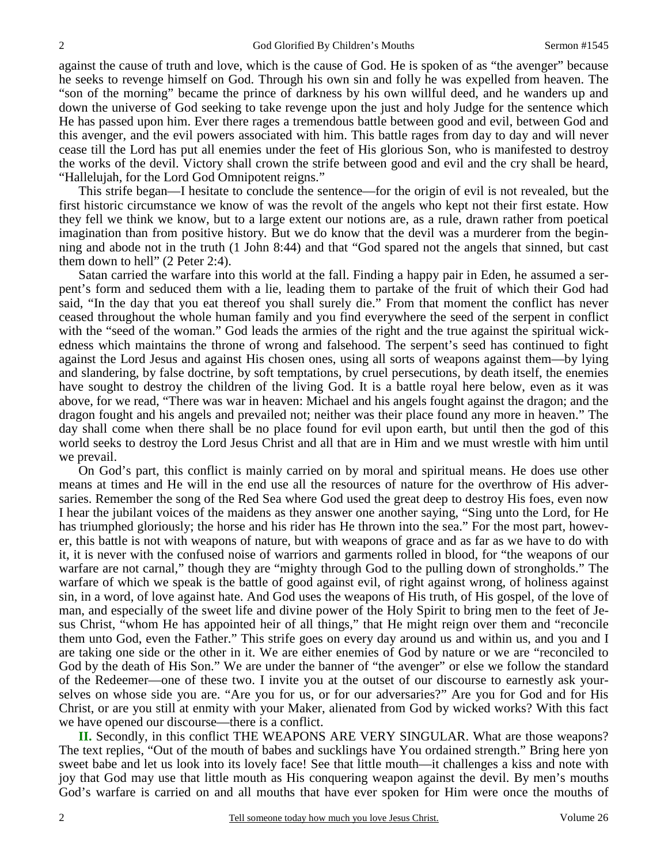against the cause of truth and love, which is the cause of God. He is spoken of as "the avenger" because he seeks to revenge himself on God. Through his own sin and folly he was expelled from heaven. The "son of the morning" became the prince of darkness by his own willful deed, and he wanders up and down the universe of God seeking to take revenge upon the just and holy Judge for the sentence which He has passed upon him. Ever there rages a tremendous battle between good and evil, between God and this avenger, and the evil powers associated with him. This battle rages from day to day and will never cease till the Lord has put all enemies under the feet of His glorious Son, who is manifested to destroy the works of the devil. Victory shall crown the strife between good and evil and the cry shall be heard, "Hallelujah, for the Lord God Omnipotent reigns."

 This strife began—I hesitate to conclude the sentence—for the origin of evil is not revealed, but the first historic circumstance we know of was the revolt of the angels who kept not their first estate. How they fell we think we know, but to a large extent our notions are, as a rule, drawn rather from poetical imagination than from positive history. But we do know that the devil was a murderer from the beginning and abode not in the truth (1 John 8:44) and that "God spared not the angels that sinned, but cast them down to hell" (2 Peter 2:4).

 Satan carried the warfare into this world at the fall. Finding a happy pair in Eden, he assumed a serpent's form and seduced them with a lie, leading them to partake of the fruit of which their God had said, "In the day that you eat thereof you shall surely die." From that moment the conflict has never ceased throughout the whole human family and you find everywhere the seed of the serpent in conflict with the "seed of the woman." God leads the armies of the right and the true against the spiritual wickedness which maintains the throne of wrong and falsehood. The serpent's seed has continued to fight against the Lord Jesus and against His chosen ones, using all sorts of weapons against them—by lying and slandering, by false doctrine, by soft temptations, by cruel persecutions, by death itself, the enemies have sought to destroy the children of the living God. It is a battle royal here below, even as it was above, for we read, "There was war in heaven: Michael and his angels fought against the dragon; and the dragon fought and his angels and prevailed not; neither was their place found any more in heaven." The day shall come when there shall be no place found for evil upon earth, but until then the god of this world seeks to destroy the Lord Jesus Christ and all that are in Him and we must wrestle with him until we prevail.

 On God's part, this conflict is mainly carried on by moral and spiritual means. He does use other means at times and He will in the end use all the resources of nature for the overthrow of His adversaries. Remember the song of the Red Sea where God used the great deep to destroy His foes, even now I hear the jubilant voices of the maidens as they answer one another saying, "Sing unto the Lord, for He has triumphed gloriously; the horse and his rider has He thrown into the sea." For the most part, however, this battle is not with weapons of nature, but with weapons of grace and as far as we have to do with it, it is never with the confused noise of warriors and garments rolled in blood, for "the weapons of our warfare are not carnal," though they are "mighty through God to the pulling down of strongholds." The warfare of which we speak is the battle of good against evil, of right against wrong, of holiness against sin, in a word, of love against hate. And God uses the weapons of His truth, of His gospel, of the love of man, and especially of the sweet life and divine power of the Holy Spirit to bring men to the feet of Jesus Christ, "whom He has appointed heir of all things," that He might reign over them and "reconcile them unto God, even the Father." This strife goes on every day around us and within us, and you and I are taking one side or the other in it. We are either enemies of God by nature or we are "reconciled to God by the death of His Son." We are under the banner of "the avenger" or else we follow the standard of the Redeemer—one of these two. I invite you at the outset of our discourse to earnestly ask yourselves on whose side you are. "Are you for us, or for our adversaries?" Are you for God and for His Christ, or are you still at enmity with your Maker, alienated from God by wicked works? With this fact we have opened our discourse—there is a conflict.

**II.** Secondly, in this conflict THE WEAPONS ARE VERY SINGULAR. What are those weapons? The text replies, "Out of the mouth of babes and sucklings have You ordained strength." Bring here yon sweet babe and let us look into its lovely face! See that little mouth—it challenges a kiss and note with joy that God may use that little mouth as His conquering weapon against the devil. By men's mouths God's warfare is carried on and all mouths that have ever spoken for Him were once the mouths of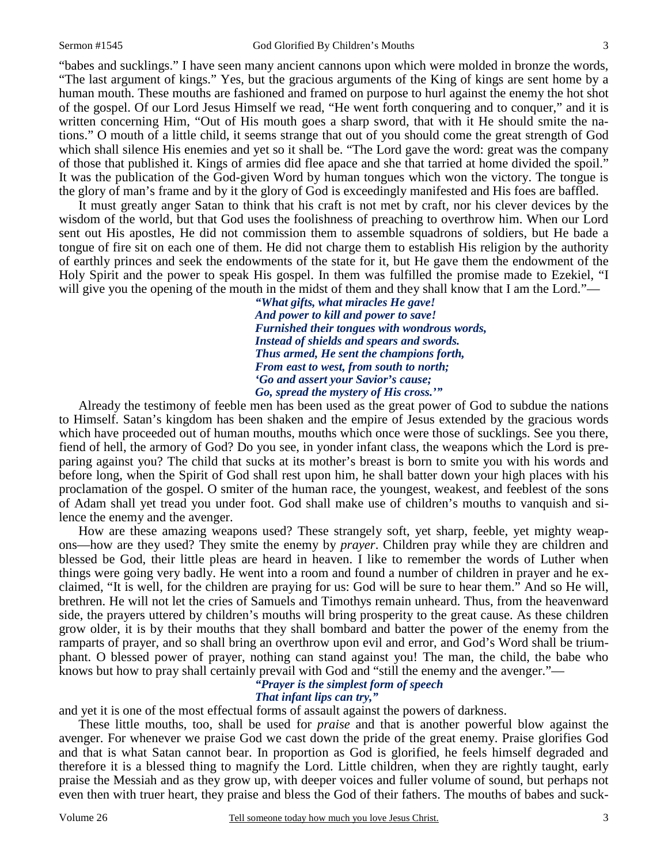"babes and sucklings." I have seen many ancient cannons upon which were molded in bronze the words, "The last argument of kings." Yes, but the gracious arguments of the King of kings are sent home by a human mouth. These mouths are fashioned and framed on purpose to hurl against the enemy the hot shot of the gospel. Of our Lord Jesus Himself we read, "He went forth conquering and to conquer," and it is written concerning Him, "Out of His mouth goes a sharp sword, that with it He should smite the nations." O mouth of a little child, it seems strange that out of you should come the great strength of God which shall silence His enemies and yet so it shall be. "The Lord gave the word: great was the company of those that published it. Kings of armies did flee apace and she that tarried at home divided the spoil." It was the publication of the God-given Word by human tongues which won the victory. The tongue is the glory of man's frame and by it the glory of God is exceedingly manifested and His foes are baffled.

 It must greatly anger Satan to think that his craft is not met by craft, nor his clever devices by the wisdom of the world, but that God uses the foolishness of preaching to overthrow him. When our Lord sent out His apostles, He did not commission them to assemble squadrons of soldiers, but He bade a tongue of fire sit on each one of them. He did not charge them to establish His religion by the authority of earthly princes and seek the endowments of the state for it, but He gave them the endowment of the Holy Spirit and the power to speak His gospel. In them was fulfilled the promise made to Ezekiel, "I will give you the opening of the mouth in the midst of them and they shall know that I am the Lord."—

*"What gifts, what miracles He gave! And power to kill and power to save! Furnished their tongues with wondrous words, Instead of shields and spears and swords. Thus armed, He sent the champions forth, From east to west, from south to north; 'Go and assert your Savior's cause; Go, spread the mystery of His cross.'"* 

 Already the testimony of feeble men has been used as the great power of God to subdue the nations to Himself. Satan's kingdom has been shaken and the empire of Jesus extended by the gracious words which have proceeded out of human mouths, mouths which once were those of sucklings. See you there, fiend of hell, the armory of God? Do you see, in yonder infant class, the weapons which the Lord is preparing against you? The child that sucks at its mother's breast is born to smite you with his words and before long, when the Spirit of God shall rest upon him, he shall batter down your high places with his proclamation of the gospel. O smiter of the human race, the youngest, weakest, and feeblest of the sons of Adam shall yet tread you under foot. God shall make use of children's mouths to vanquish and silence the enemy and the avenger.

 How are these amazing weapons used? These strangely soft, yet sharp, feeble, yet mighty weapons—how are they used? They smite the enemy by *prayer*. Children pray while they are children and blessed be God, their little pleas are heard in heaven. I like to remember the words of Luther when things were going very badly. He went into a room and found a number of children in prayer and he exclaimed, "It is well, for the children are praying for us: God will be sure to hear them." And so He will, brethren. He will not let the cries of Samuels and Timothys remain unheard. Thus, from the heavenward side, the prayers uttered by children's mouths will bring prosperity to the great cause. As these children grow older, it is by their mouths that they shall bombard and batter the power of the enemy from the ramparts of prayer, and so shall bring an overthrow upon evil and error, and God's Word shall be triumphant. O blessed power of prayer, nothing can stand against you! The man, the child, the babe who knows but how to pray shall certainly prevail with God and "still the enemy and the avenger."—

#### *"Prayer is the simplest form of speech*

# *That infant lips can try,"*

and yet it is one of the most effectual forms of assault against the powers of darkness.

 These little mouths, too, shall be used for *praise* and that is another powerful blow against the avenger. For whenever we praise God we cast down the pride of the great enemy. Praise glorifies God and that is what Satan cannot bear. In proportion as God is glorified, he feels himself degraded and therefore it is a blessed thing to magnify the Lord. Little children, when they are rightly taught, early praise the Messiah and as they grow up, with deeper voices and fuller volume of sound, but perhaps not even then with truer heart, they praise and bless the God of their fathers. The mouths of babes and suck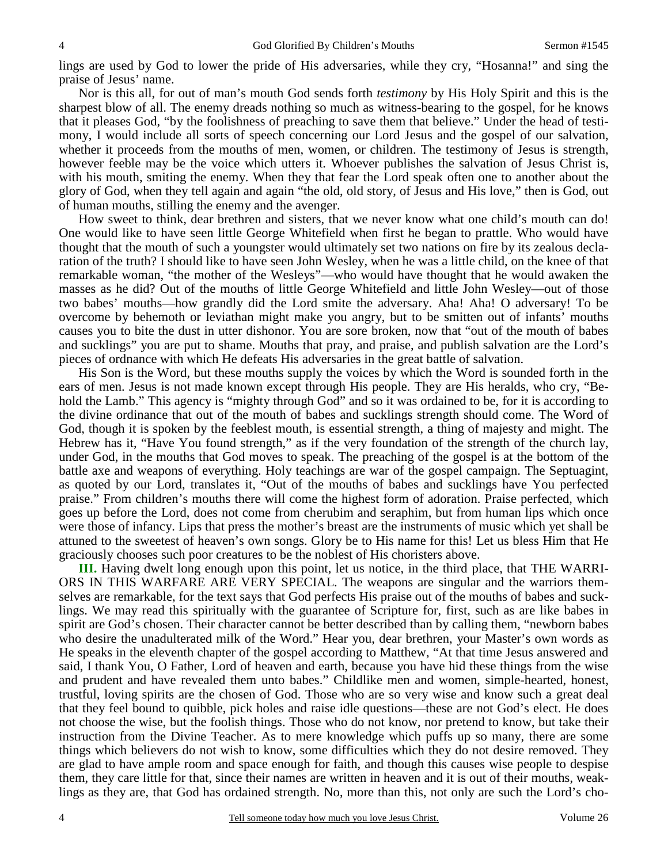lings are used by God to lower the pride of His adversaries, while they cry, "Hosanna!" and sing the praise of Jesus' name.

 Nor is this all, for out of man's mouth God sends forth *testimony* by His Holy Spirit and this is the sharpest blow of all. The enemy dreads nothing so much as witness-bearing to the gospel, for he knows that it pleases God, "by the foolishness of preaching to save them that believe." Under the head of testimony, I would include all sorts of speech concerning our Lord Jesus and the gospel of our salvation, whether it proceeds from the mouths of men, women, or children. The testimony of Jesus is strength, however feeble may be the voice which utters it. Whoever publishes the salvation of Jesus Christ is, with his mouth, smiting the enemy. When they that fear the Lord speak often one to another about the glory of God, when they tell again and again "the old, old story, of Jesus and His love," then is God, out of human mouths, stilling the enemy and the avenger.

 How sweet to think, dear brethren and sisters, that we never know what one child's mouth can do! One would like to have seen little George Whitefield when first he began to prattle. Who would have thought that the mouth of such a youngster would ultimately set two nations on fire by its zealous declaration of the truth? I should like to have seen John Wesley, when he was a little child, on the knee of that remarkable woman, "the mother of the Wesleys"—who would have thought that he would awaken the masses as he did? Out of the mouths of little George Whitefield and little John Wesley—out of those two babes' mouths—how grandly did the Lord smite the adversary. Aha! Aha! O adversary! To be overcome by behemoth or leviathan might make you angry, but to be smitten out of infants' mouths causes you to bite the dust in utter dishonor. You are sore broken, now that "out of the mouth of babes and sucklings" you are put to shame. Mouths that pray, and praise, and publish salvation are the Lord's pieces of ordnance with which He defeats His adversaries in the great battle of salvation.

 His Son is the Word, but these mouths supply the voices by which the Word is sounded forth in the ears of men. Jesus is not made known except through His people. They are His heralds, who cry, "Behold the Lamb." This agency is "mighty through God" and so it was ordained to be, for it is according to the divine ordinance that out of the mouth of babes and sucklings strength should come. The Word of God, though it is spoken by the feeblest mouth, is essential strength, a thing of majesty and might. The Hebrew has it, "Have You found strength," as if the very foundation of the strength of the church lay, under God, in the mouths that God moves to speak. The preaching of the gospel is at the bottom of the battle axe and weapons of everything. Holy teachings are war of the gospel campaign. The Septuagint, as quoted by our Lord, translates it, "Out of the mouths of babes and sucklings have You perfected praise." From children's mouths there will come the highest form of adoration. Praise perfected, which goes up before the Lord, does not come from cherubim and seraphim, but from human lips which once were those of infancy. Lips that press the mother's breast are the instruments of music which yet shall be attuned to the sweetest of heaven's own songs. Glory be to His name for this! Let us bless Him that He graciously chooses such poor creatures to be the noblest of His choristers above.

**III.** Having dwelt long enough upon this point, let us notice, in the third place, that THE WARRI-ORS IN THIS WARFARE ARE VERY SPECIAL. The weapons are singular and the warriors themselves are remarkable, for the text says that God perfects His praise out of the mouths of babes and sucklings. We may read this spiritually with the guarantee of Scripture for, first, such as are like babes in spirit are God's chosen. Their character cannot be better described than by calling them, "newborn babes who desire the unadulterated milk of the Word." Hear you, dear brethren, your Master's own words as He speaks in the eleventh chapter of the gospel according to Matthew, "At that time Jesus answered and said, I thank You, O Father, Lord of heaven and earth, because you have hid these things from the wise and prudent and have revealed them unto babes." Childlike men and women, simple-hearted, honest, trustful, loving spirits are the chosen of God. Those who are so very wise and know such a great deal that they feel bound to quibble, pick holes and raise idle questions—these are not God's elect. He does not choose the wise, but the foolish things. Those who do not know, nor pretend to know, but take their instruction from the Divine Teacher. As to mere knowledge which puffs up so many, there are some things which believers do not wish to know, some difficulties which they do not desire removed. They are glad to have ample room and space enough for faith, and though this causes wise people to despise them, they care little for that, since their names are written in heaven and it is out of their mouths, weaklings as they are, that God has ordained strength. No, more than this, not only are such the Lord's cho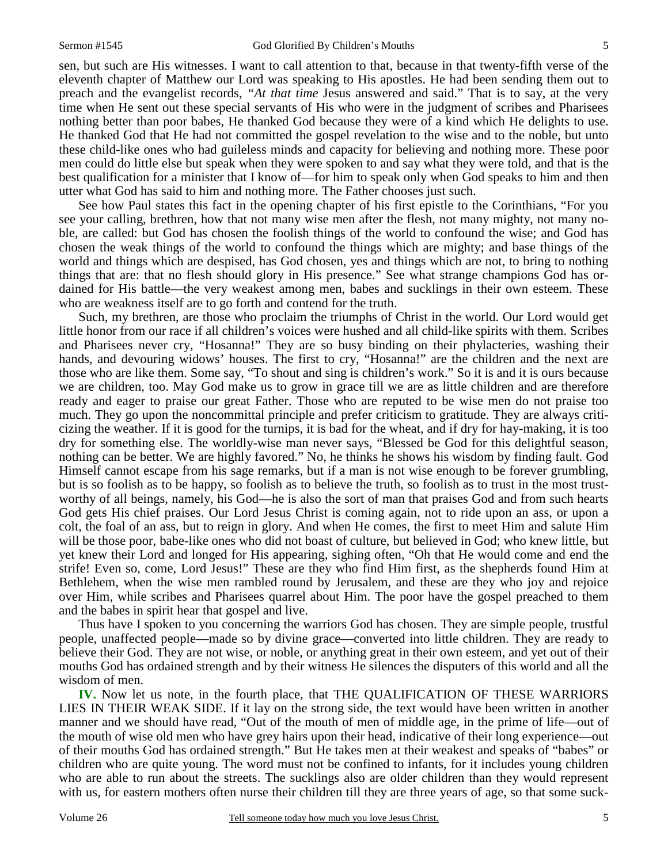sen, but such are His witnesses. I want to call attention to that, because in that twenty-fifth verse of the eleventh chapter of Matthew our Lord was speaking to His apostles. He had been sending them out to preach and the evangelist records, *"At that time* Jesus answered and said." That is to say, at the very time when He sent out these special servants of His who were in the judgment of scribes and Pharisees nothing better than poor babes, He thanked God because they were of a kind which He delights to use. He thanked God that He had not committed the gospel revelation to the wise and to the noble, but unto these child-like ones who had guileless minds and capacity for believing and nothing more. These poor men could do little else but speak when they were spoken to and say what they were told, and that is the best qualification for a minister that I know of—for him to speak only when God speaks to him and then utter what God has said to him and nothing more. The Father chooses just such.

 See how Paul states this fact in the opening chapter of his first epistle to the Corinthians, "For you see your calling, brethren, how that not many wise men after the flesh, not many mighty, not many noble, are called: but God has chosen the foolish things of the world to confound the wise; and God has chosen the weak things of the world to confound the things which are mighty; and base things of the world and things which are despised, has God chosen, yes and things which are not, to bring to nothing things that are: that no flesh should glory in His presence." See what strange champions God has ordained for His battle—the very weakest among men, babes and sucklings in their own esteem. These who are weakness itself are to go forth and contend for the truth.

 Such, my brethren, are those who proclaim the triumphs of Christ in the world. Our Lord would get little honor from our race if all children's voices were hushed and all child-like spirits with them. Scribes and Pharisees never cry, "Hosanna!" They are so busy binding on their phylacteries, washing their hands, and devouring widows' houses. The first to cry, "Hosanna!" are the children and the next are those who are like them. Some say, "To shout and sing is children's work." So it is and it is ours because we are children, too. May God make us to grow in grace till we are as little children and are therefore ready and eager to praise our great Father. Those who are reputed to be wise men do not praise too much. They go upon the noncommittal principle and prefer criticism to gratitude. They are always criticizing the weather. If it is good for the turnips, it is bad for the wheat, and if dry for hay-making, it is too dry for something else. The worldly-wise man never says, "Blessed be God for this delightful season, nothing can be better. We are highly favored." No, he thinks he shows his wisdom by finding fault. God Himself cannot escape from his sage remarks, but if a man is not wise enough to be forever grumbling, but is so foolish as to be happy, so foolish as to believe the truth, so foolish as to trust in the most trustworthy of all beings, namely, his God—he is also the sort of man that praises God and from such hearts God gets His chief praises. Our Lord Jesus Christ is coming again, not to ride upon an ass, or upon a colt, the foal of an ass, but to reign in glory. And when He comes, the first to meet Him and salute Him will be those poor, babe-like ones who did not boast of culture, but believed in God; who knew little, but yet knew their Lord and longed for His appearing, sighing often, "Oh that He would come and end the strife! Even so, come, Lord Jesus!" These are they who find Him first, as the shepherds found Him at Bethlehem, when the wise men rambled round by Jerusalem, and these are they who joy and rejoice over Him, while scribes and Pharisees quarrel about Him. The poor have the gospel preached to them and the babes in spirit hear that gospel and live.

 Thus have I spoken to you concerning the warriors God has chosen. They are simple people, trustful people, unaffected people—made so by divine grace—converted into little children. They are ready to believe their God. They are not wise, or noble, or anything great in their own esteem, and yet out of their mouths God has ordained strength and by their witness He silences the disputers of this world and all the wisdom of men.

**IV.** Now let us note, in the fourth place, that THE QUALIFICATION OF THESE WARRIORS LIES IN THEIR WEAK SIDE. If it lay on the strong side, the text would have been written in another manner and we should have read, "Out of the mouth of men of middle age, in the prime of life—out of the mouth of wise old men who have grey hairs upon their head, indicative of their long experience—out of their mouths God has ordained strength." But He takes men at their weakest and speaks of "babes" or children who are quite young. The word must not be confined to infants, for it includes young children who are able to run about the streets. The sucklings also are older children than they would represent with us, for eastern mothers often nurse their children till they are three years of age, so that some suck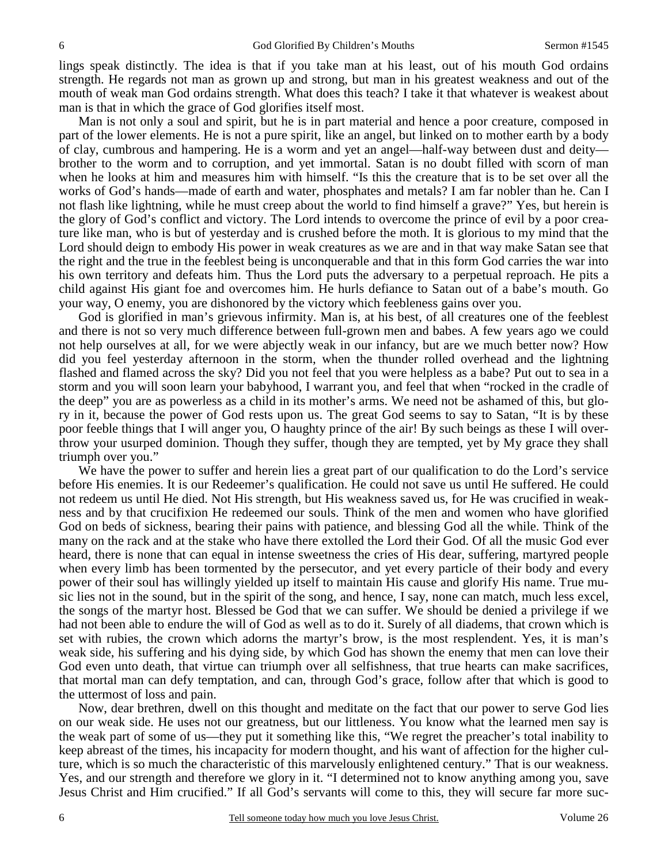lings speak distinctly. The idea is that if you take man at his least, out of his mouth God ordains strength. He regards not man as grown up and strong, but man in his greatest weakness and out of the mouth of weak man God ordains strength. What does this teach? I take it that whatever is weakest about man is that in which the grace of God glorifies itself most.

 Man is not only a soul and spirit, but he is in part material and hence a poor creature, composed in part of the lower elements. He is not a pure spirit, like an angel, but linked on to mother earth by a body of clay, cumbrous and hampering. He is a worm and yet an angel—half-way between dust and deity brother to the worm and to corruption, and yet immortal. Satan is no doubt filled with scorn of man when he looks at him and measures him with himself. "Is this the creature that is to be set over all the works of God's hands—made of earth and water, phosphates and metals? I am far nobler than he. Can I not flash like lightning, while he must creep about the world to find himself a grave?" Yes, but herein is the glory of God's conflict and victory. The Lord intends to overcome the prince of evil by a poor creature like man, who is but of yesterday and is crushed before the moth. It is glorious to my mind that the Lord should deign to embody His power in weak creatures as we are and in that way make Satan see that the right and the true in the feeblest being is unconquerable and that in this form God carries the war into his own territory and defeats him. Thus the Lord puts the adversary to a perpetual reproach. He pits a child against His giant foe and overcomes him. He hurls defiance to Satan out of a babe's mouth. Go your way, O enemy, you are dishonored by the victory which feebleness gains over you.

 God is glorified in man's grievous infirmity. Man is, at his best, of all creatures one of the feeblest and there is not so very much difference between full-grown men and babes. A few years ago we could not help ourselves at all, for we were abjectly weak in our infancy, but are we much better now? How did you feel yesterday afternoon in the storm, when the thunder rolled overhead and the lightning flashed and flamed across the sky? Did you not feel that you were helpless as a babe? Put out to sea in a storm and you will soon learn your babyhood, I warrant you, and feel that when "rocked in the cradle of the deep" you are as powerless as a child in its mother's arms. We need not be ashamed of this, but glory in it, because the power of God rests upon us. The great God seems to say to Satan, "It is by these poor feeble things that I will anger you, O haughty prince of the air! By such beings as these I will overthrow your usurped dominion. Though they suffer, though they are tempted, yet by My grace they shall triumph over you."

We have the power to suffer and herein lies a great part of our qualification to do the Lord's service before His enemies. It is our Redeemer's qualification. He could not save us until He suffered. He could not redeem us until He died. Not His strength, but His weakness saved us, for He was crucified in weakness and by that crucifixion He redeemed our souls. Think of the men and women who have glorified God on beds of sickness, bearing their pains with patience, and blessing God all the while. Think of the many on the rack and at the stake who have there extolled the Lord their God. Of all the music God ever heard, there is none that can equal in intense sweetness the cries of His dear, suffering, martyred people when every limb has been tormented by the persecutor, and yet every particle of their body and every power of their soul has willingly yielded up itself to maintain His cause and glorify His name. True music lies not in the sound, but in the spirit of the song, and hence, I say, none can match, much less excel, the songs of the martyr host. Blessed be God that we can suffer. We should be denied a privilege if we had not been able to endure the will of God as well as to do it. Surely of all diadems, that crown which is set with rubies, the crown which adorns the martyr's brow, is the most resplendent. Yes, it is man's weak side, his suffering and his dying side, by which God has shown the enemy that men can love their God even unto death, that virtue can triumph over all selfishness, that true hearts can make sacrifices, that mortal man can defy temptation, and can, through God's grace, follow after that which is good to the uttermost of loss and pain.

 Now, dear brethren, dwell on this thought and meditate on the fact that our power to serve God lies on our weak side. He uses not our greatness, but our littleness. You know what the learned men say is the weak part of some of us—they put it something like this, "We regret the preacher's total inability to keep abreast of the times, his incapacity for modern thought, and his want of affection for the higher culture, which is so much the characteristic of this marvelously enlightened century." That is our weakness. Yes, and our strength and therefore we glory in it. "I determined not to know anything among you, save Jesus Christ and Him crucified." If all God's servants will come to this, they will secure far more suc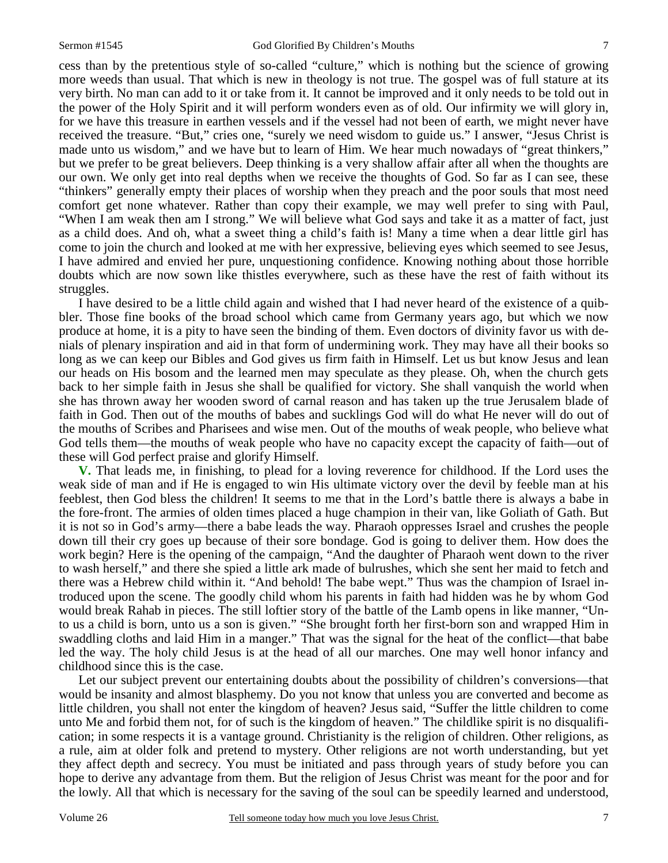cess than by the pretentious style of so-called "culture," which is nothing but the science of growing more weeds than usual. That which is new in theology is not true. The gospel was of full stature at its very birth. No man can add to it or take from it. It cannot be improved and it only needs to be told out in the power of the Holy Spirit and it will perform wonders even as of old. Our infirmity we will glory in, for we have this treasure in earthen vessels and if the vessel had not been of earth, we might never have received the treasure. "But," cries one, "surely we need wisdom to guide us." I answer, "Jesus Christ is made unto us wisdom," and we have but to learn of Him. We hear much nowadays of "great thinkers," but we prefer to be great believers. Deep thinking is a very shallow affair after all when the thoughts are our own. We only get into real depths when we receive the thoughts of God. So far as I can see, these "thinkers" generally empty their places of worship when they preach and the poor souls that most need comfort get none whatever. Rather than copy their example, we may well prefer to sing with Paul, "When I am weak then am I strong." We will believe what God says and take it as a matter of fact, just as a child does. And oh, what a sweet thing a child's faith is! Many a time when a dear little girl has come to join the church and looked at me with her expressive, believing eyes which seemed to see Jesus, I have admired and envied her pure, unquestioning confidence. Knowing nothing about those horrible doubts which are now sown like thistles everywhere, such as these have the rest of faith without its struggles.

 I have desired to be a little child again and wished that I had never heard of the existence of a quibbler. Those fine books of the broad school which came from Germany years ago, but which we now produce at home, it is a pity to have seen the binding of them. Even doctors of divinity favor us with denials of plenary inspiration and aid in that form of undermining work. They may have all their books so long as we can keep our Bibles and God gives us firm faith in Himself. Let us but know Jesus and lean our heads on His bosom and the learned men may speculate as they please. Oh, when the church gets back to her simple faith in Jesus she shall be qualified for victory. She shall vanquish the world when she has thrown away her wooden sword of carnal reason and has taken up the true Jerusalem blade of faith in God. Then out of the mouths of babes and sucklings God will do what He never will do out of the mouths of Scribes and Pharisees and wise men. Out of the mouths of weak people, who believe what God tells them—the mouths of weak people who have no capacity except the capacity of faith—out of these will God perfect praise and glorify Himself.

**V.** That leads me, in finishing, to plead for a loving reverence for childhood. If the Lord uses the weak side of man and if He is engaged to win His ultimate victory over the devil by feeble man at his feeblest, then God bless the children! It seems to me that in the Lord's battle there is always a babe in the fore-front. The armies of olden times placed a huge champion in their van, like Goliath of Gath. But it is not so in God's army—there a babe leads the way. Pharaoh oppresses Israel and crushes the people down till their cry goes up because of their sore bondage. God is going to deliver them. How does the work begin? Here is the opening of the campaign, "And the daughter of Pharaoh went down to the river to wash herself," and there she spied a little ark made of bulrushes, which she sent her maid to fetch and there was a Hebrew child within it. "And behold! The babe wept." Thus was the champion of Israel introduced upon the scene. The goodly child whom his parents in faith had hidden was he by whom God would break Rahab in pieces. The still loftier story of the battle of the Lamb opens in like manner, "Unto us a child is born, unto us a son is given." "She brought forth her first-born son and wrapped Him in swaddling cloths and laid Him in a manger." That was the signal for the heat of the conflict—that babe led the way. The holy child Jesus is at the head of all our marches. One may well honor infancy and childhood since this is the case.

 Let our subject prevent our entertaining doubts about the possibility of children's conversions—that would be insanity and almost blasphemy. Do you not know that unless you are converted and become as little children, you shall not enter the kingdom of heaven? Jesus said, "Suffer the little children to come unto Me and forbid them not, for of such is the kingdom of heaven." The childlike spirit is no disqualification; in some respects it is a vantage ground. Christianity is the religion of children. Other religions, as a rule, aim at older folk and pretend to mystery. Other religions are not worth understanding, but yet they affect depth and secrecy. You must be initiated and pass through years of study before you can hope to derive any advantage from them. But the religion of Jesus Christ was meant for the poor and for the lowly. All that which is necessary for the saving of the soul can be speedily learned and understood,